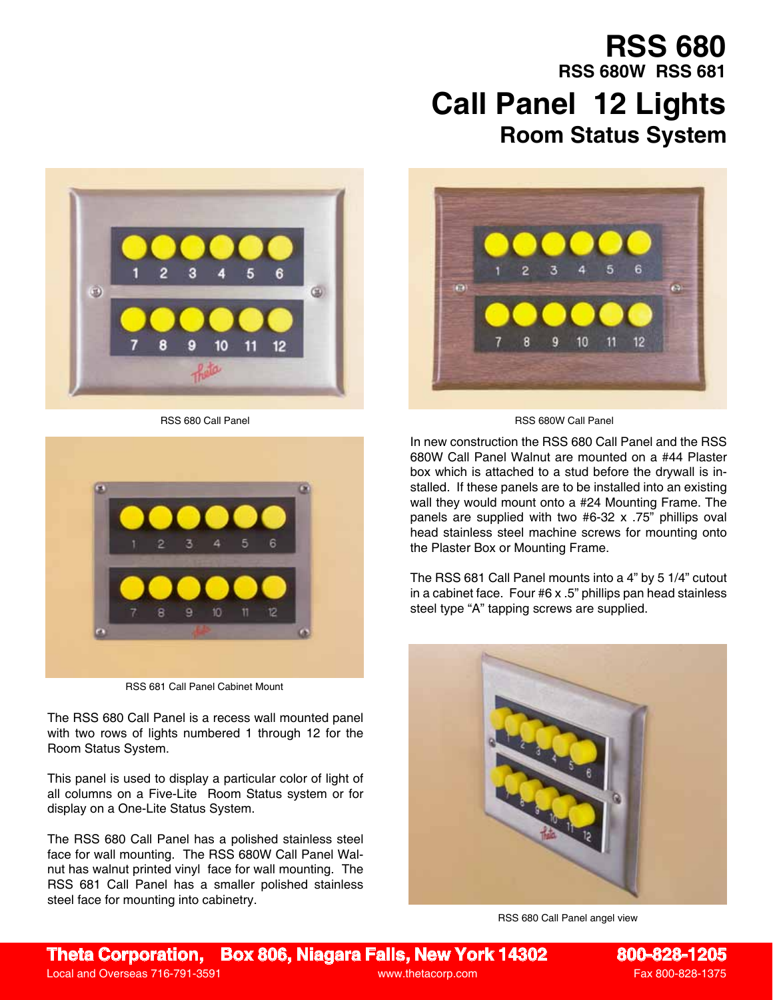## **Room Status System RSS 680 RSS 680W RSS 681 Call Panel 12 Lights**





RSS 681 Call Panel Cabinet Mount

The RSS 680 Call Panel is a recess wall mounted panel with two rows of lights numbered 1 through 12 for the Room Status System.

This panel is used to display a particular color of light of all columns on a Five-Lite Room Status system or for display on a One-Lite Status System.

The RSS 680 Call Panel has a polished stainless steel face for wall mounting. The RSS 680W Call Panel Walnut has walnut printed vinyl face for wall mounting. The RSS 681 Call Panel has a smaller polished stainless steel face for mounting into cabinetry.



RSS 680 Call Panel RSS 680W Call Panel

In new construction the RSS 680 Call Panel and the RSS 680W Call Panel Walnut are mounted on a #44 Plaster box which is attached to a stud before the drywall is installed. If these panels are to be installed into an existing wall they would mount onto a #24 Mounting Frame. The panels are supplied with two #6-32 x .75" phillips oval head stainless steel machine screws for mounting onto the Plaster Box or Mounting Frame.

The RSS 681 Call Panel mounts into a 4" by 5 1/4" cutout in a cabinet face. Four #6 x .5" phillips pan head stainless steel type "A" tapping screws are supplied.



RSS 680 Call Panel angel view

**Theta Corporation, Box 806, Niagara Falls, New York 14302 800-828-1205** Local and Overseas 716-791-3591 and Controller and Controller and Controller and Controller and Controller and Controller and Controller and Controller and Controller and Controller and Controller and Controller and Contro